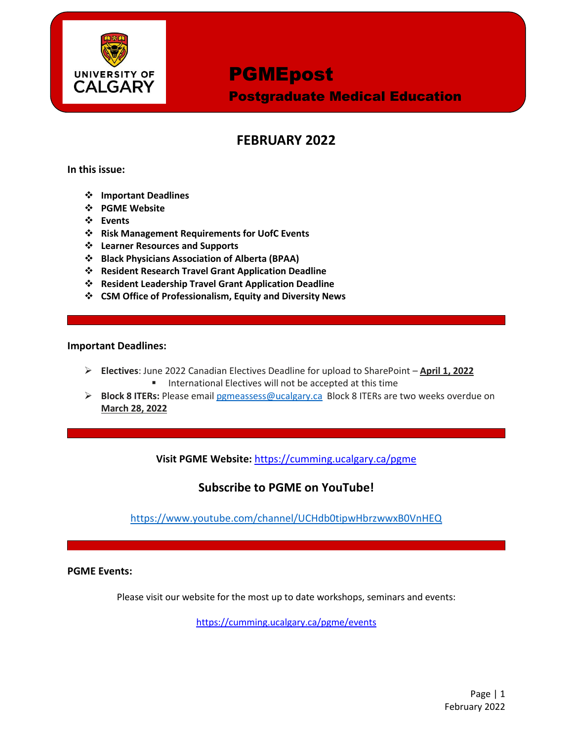

Postgraduate Medical Education

### **FEBRUARY 2022**

**In this issue:**

- **Important Deadlines**
- **PGME Website**
- **Events**
- **Risk Management Requirements for UofC Events**
- **Learner Resources and Supports**
- **Black Physicians Association of Alberta (BPAA)**
- **Resident Research Travel Grant Application Deadline**
- **Resident Leadership Travel Grant Application Deadline**
- **CSM Office of Professionalism, Equity and Diversity News**

#### **Important Deadlines:**

- **Electives**: June 2022 Canadian Electives Deadline for upload to SharePoint **April 1, 2022 International Electives will not be accepted at this time**
- **Block 8 ITERs:** Please email [pgmeassess@ucalgary.ca](mailto:pgmeassess@ucalgary.ca) Block 8 ITERs are two weeks overdue on **March 28, 2022**

**Visit PGME Website:** <https://cumming.ucalgary.ca/pgme>

### **Subscribe to PGME on YouTube!**

<https://www.youtube.com/channel/UCHdb0tipwHbrzwwxB0VnHEQ>

**PGME Events:** 

Please visit our website for the most up to date workshops, seminars and events:

<https://cumming.ucalgary.ca/pgme/events>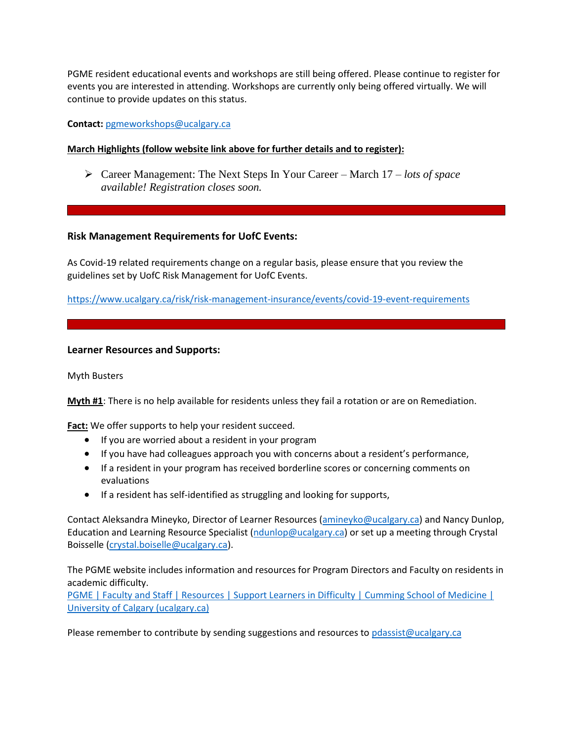PGME resident educational events and workshops are still being offered. Please continue to register for events you are interested in attending. Workshops are currently only being offered virtually. We will continue to provide updates on this status.

**Contact:** [pgmeworkshops@ucalgary.ca](mailto:pgmeworkshops@ucalgary.ca)

#### **March Highlights (follow website link above for further details and to register):**

 Career Management: The Next Steps In Your Career – March 17 *– lots of space available! Registration closes soon.*

#### **Risk Management Requirements for UofC Events:**

As Covid-19 related requirements change on a regular basis, please ensure that you review the guidelines set by UofC Risk Management for UofC Events.

<https://www.ucalgary.ca/risk/risk-management-insurance/events/covid-19-event-requirements>

#### **Learner Resources and Supports:**

Myth Busters

**Myth #1**: There is no help available for residents unless they fail a rotation or are on Remediation.

Fact: We offer supports to help your resident succeed.

- If you are worried about a resident in your program
- If you have had colleagues approach you with concerns about a resident's performance,
- If a resident in your program has received borderline scores or concerning comments on evaluations
- **If a resident has self-identified as struggling and looking for supports,**

Contact Aleksandra Mineyko, Director of Learner Resources [\(amineyko@ucalgary.ca\)](mailto:amineyko@ucalgary.ca) and Nancy Dunlop, Education and Learning Resource Specialist [\(ndunlop@ucalgary.ca\)](mailto:ndunlop@ucalgary.ca) or set up a meeting through Crystal Boisselle [\(crystal.boiselle@ucalgary.ca\)](mailto:crystal.boiselle@ucalgary.ca).

The PGME website includes information and resources for Program Directors and Faculty on residents in academic difficulty.

[PGME | Faculty and Staff | Resources | Support Learners in Difficulty | Cumming School of Medicine |](https://cumming.ucalgary.ca/pgme/faculty-and-staff/faculty-and-staff-resources/supportlearnersindifficulty)  [University of Calgary \(ucalgary.ca\)](https://cumming.ucalgary.ca/pgme/faculty-and-staff/faculty-and-staff-resources/supportlearnersindifficulty)

Please remember to contribute by sending suggestions and resources to [pdassist@ucalgary.ca](mailto:pdassist@ucalgary.ca)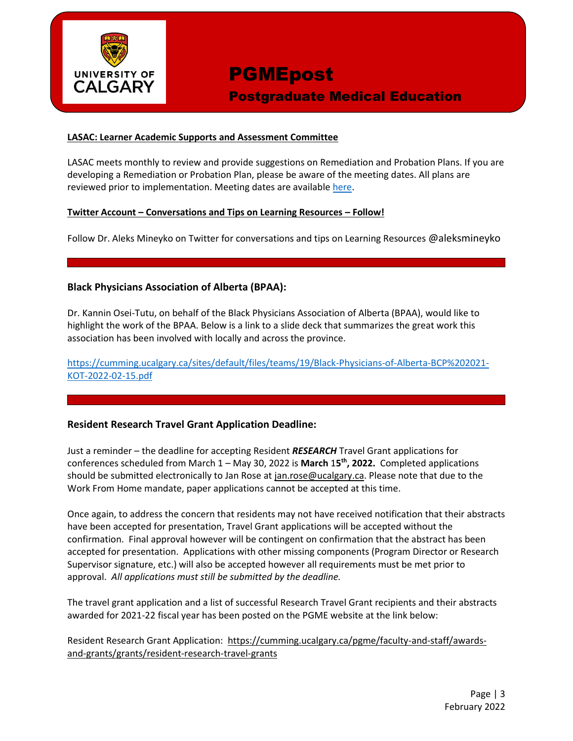

Postgraduate Medical Education

#### **LASAC: Learner Academic Supports and Assessment Committee**

LASAC meets monthly to review and provide suggestions on Remediation and Probation Plans. If you are developing a Remediation or Probation Plan, please be aware of the meeting dates. All plans are reviewed prior to implementation. Meeting dates are availabl[e here.](https://cumming.ucalgary.ca/sites/default/files/teams/6/ToR/learner-academic-support-meeting-dates-pgme-2021-2022-v1.pdf)

#### **Twitter Account – Conversations and Tips on Learning Resources – Follow!**

Follow Dr. Aleks Mineyko on Twitter for conversations and tips on Learning Resources @aleksmineyko

#### **Black Physicians Association of Alberta (BPAA):**

Dr. Kannin Osei-Tutu, on behalf of the Black Physicians Association of Alberta (BPAA), would like to highlight the work of the BPAA. Below is a link to a slide deck that summarizes the great work this association has been involved with locally and across the province.

[https://cumming.ucalgary.ca/sites/default/files/teams/19/Black-Physicians-of-Alberta-BCP%202021-](https://cumming.ucalgary.ca/sites/default/files/teams/19/Black-Physicians-of-Alberta-BCP%202021-KOT-2022-02-15.pdf) [KOT-2022-02-15.pdf](https://cumming.ucalgary.ca/sites/default/files/teams/19/Black-Physicians-of-Alberta-BCP%202021-KOT-2022-02-15.pdf)

#### **Resident Research Travel Grant Application Deadline:**

Just a reminder – the deadline for accepting Resident *RESEARCH* Travel Grant applications for conferences scheduled from March 1 – May 30, 2022 is **March** 1**5 th, 2022.** Completed applications should be submitted electronically to Jan Rose at [jan.rose@ucalgary.ca.](mailto:jan.rose@ucalgary.ca) Please note that due to the Work From Home mandate, paper applications cannot be accepted at this time.

Once again, to address the concern that residents may not have received notification that their abstracts have been accepted for presentation, Travel Grant applications will be accepted without the confirmation. Final approval however will be contingent on confirmation that the abstract has been accepted for presentation. Applications with other missing components (Program Director or Research Supervisor signature, etc.) will also be accepted however all requirements must be met prior to approval. *All applications must still be submitted by the deadline.*

The travel grant application and a list of successful Research Travel Grant recipients and their abstracts awarded for 2021-22 fiscal year has been posted on the PGME website at the link below:

Resident Research Grant Application: [https://cumming.ucalgary.ca/pgme/faculty-and-staff/awards](https://cumming.ucalgary.ca/pgme/faculty-and-staff/awards-and-grants/grants/resident-research-travel-grants)[and-grants/grants/resident-research-travel-grants](https://cumming.ucalgary.ca/pgme/faculty-and-staff/awards-and-grants/grants/resident-research-travel-grants)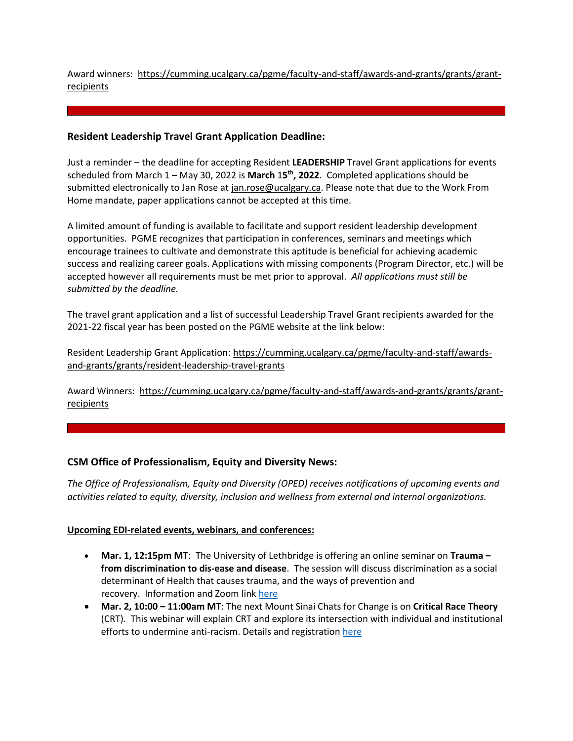Award winners: [https://cumming.ucalgary.ca/pgme/faculty-and-staff/awards-and-grants/grants/grant](https://cumming.ucalgary.ca/pgme/faculty-and-staff/awards-and-grants/grants/grant-recipients)**[recipients](https://cumming.ucalgary.ca/pgme/faculty-and-staff/awards-and-grants/grants/grant-recipients)** 

#### **Resident Leadership Travel Grant Application Deadline:**

Just a reminder – the deadline for accepting Resident **LEADERSHIP** Travel Grant applications for events scheduled from March 1 – May 30, 2022 is **March** 1**5 th, 2022**. Completed applications should be submitted electronically to Jan Rose at [jan.rose@ucalgary.ca.](mailto:jan.rose@ucalgary.ca) Please note that due to the Work From Home mandate, paper applications cannot be accepted at this time.

A limited amount of funding is available to facilitate and support resident leadership development opportunities. PGME recognizes that participation in conferences, seminars and meetings which encourage trainees to cultivate and demonstrate this aptitude is beneficial for achieving academic success and realizing career goals. Applications with missing components (Program Director, etc.) will be accepted however all requirements must be met prior to approval. *All applications must still be submitted by the deadline.*

The travel grant application and a list of successful Leadership Travel Grant recipients awarded for the 2021-22 fiscal year has been posted on the PGME website at the link below:

Resident Leadership Grant Application: [https://cumming.ucalgary.ca/pgme/faculty-and-staff/awards](https://cumming.ucalgary.ca/pgme/faculty-and-staff/awards-and-grants/grants/resident-leadership-travel-grants)[and-grants/grants/resident-leadership-travel-grants](https://cumming.ucalgary.ca/pgme/faculty-and-staff/awards-and-grants/grants/resident-leadership-travel-grants)

Award Winners: [https://cumming.ucalgary.ca/pgme/faculty-and-staff/awards-and-grants/grants/grant](https://cumming.ucalgary.ca/pgme/faculty-and-staff/awards-and-grants/grants/grant-recipients)[recipients](https://cumming.ucalgary.ca/pgme/faculty-and-staff/awards-and-grants/grants/grant-recipients)

#### **CSM Office of Professionalism, Equity and Diversity News:**

*The Office of Professionalism, Equity and Diversity (OPED) receives notifications of upcoming events and activities related to equity, diversity, inclusion and wellness from external and internal organizations.* 

#### **Upcoming EDI-related events, webinars, and conferences:**

- **Mar. 1, 12:15pm MT**: The University of Lethbridge is offering an online seminar on **Trauma – from discrimination to dis-ease and disease**. The session will discuss discrimination as a social determinant of Health that causes trauma, and the ways of prevention and recovery. Information and Zoom link [here](https://www.ulethbridge.ca/notice/notices/trauma-%E2%80%93-discrimination-dis-ease-and-disease#.YgaQGt_MLIU)
- **Mar. 2, 10:00 – 11:00am MT**: The next Mount Sinai Chats for Change is on **Critical Race Theory** (CRT). This webinar will explain CRT and explore its intersection with individual and institutional efforts to undermine anti-racism. Details and registration [here](https://changenow.icahn.mssm.edu/national-chats-for-change/)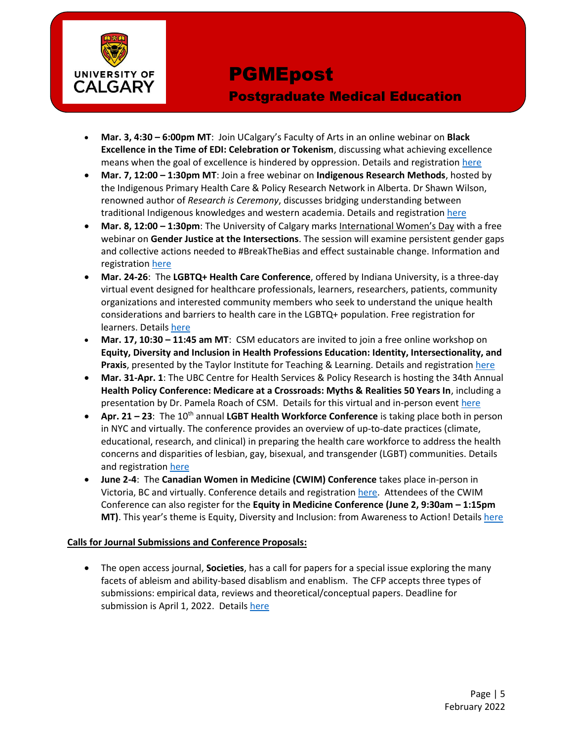

### Postgraduate Medical Education

- **Mar. 3, 4:30 – 6:00pm MT**: Join UCalgary's Faculty of Arts in an online webinar on **Black Excellence in the Time of EDI: Celebration or Tokenism**, discussing what achieving excellence means when the goal of excellence is hindered by oppression. Details and registration [here](https://events.ucalgary.ca/arts/#!view/event/event_id/398380)
- **Mar. 7, 12:00 – 1:30pm MT**: Join a free webinar on **Indigenous Research Methods**, hosted by the Indigenous Primary Health Care & Policy Research Network in Alberta. Dr Shawn Wilson, renowned author of *Research is Ceremony*, discusses bridging understanding between traditional Indigenous knowledges and western academia. Details and registratio[n here](https://www.eventbrite.com/e/webinar-on-indigenous-research-methods-by-dr-shawn-wilson-tickets-208248375497)
- **Mar. 8, 12:00 1:30pm**: The University of Calgary marks International Women's Day with a free webinar on **Gender Justice at the Intersections**. The session will examine persistent gender gaps and collective actions needed to #BreakTheBias and effect sustainable change. Information and registratio[n here](https://go.ucalgary.ca/2022-03-17_RegistrationPage.html)
- **Mar. 24-26**: The **LGBTQ+ Health Care Conference**, offered by Indiana University, is a three-day virtual event designed for healthcare professionals, learners, researchers, patients, community organizations and interested community members who seek to understand the unique health considerations and barriers to health care in the LGBTQ+ population. Free registration for learners. Details [here](https://medicine.iu.edu/about/diversity/programs/lgbtq-conference)
- **Mar. 17, 10:30 – 11:45 am MT**: CSM educators are invited to join a free online workshop on **Equity, Diversity and Inclusion in Health Professions Education: Identity, Intersectionality, and Praxis**, presented by the Taylor Institute for Teaching & Learning. Details and registration [here](https://taylorinstitute.ucalgary.ca/workshop-series/equity-diversity-inclusion)
- **Mar. 31-Apr. 1**: The UBC Centre for Health Services & Policy Research is hosting the 34th Annual **Health Policy Conference: Medicare at a Crossroads: Myths & Realities 50 Years In**, including a presentation by Dr. Pamela Roach of CSM. Details for this virtual and in-person event [here](https://chspr.ubc.ca/conference/)
- **Apr. 21 – 23**: The 10th annual **LGBT Health Workforce Conference** is taking place both in person in NYC and virtually. The conference provides an overview of up-to-date practices (climate, educational, research, and clinical) in preparing the health care workforce to address the health concerns and disparities of lesbian, gay, bisexual, and transgender (LGBT) communities. Details and registratio[n here](http://bngap.org/lgbthwfconf/)
- **June 2-4**: The **Canadian Women in Medicine (CWIM) Conference** takes place in-person in Victoria, BC and virtually. Conference details and registratio[n here.](https://www.conference.cwimgather.com/) Attendees of the CWIM Conference can also register for the **Equity in Medicine Conference (June 2, 9:30am – 1:15pm MT)**. This year's theme is Equity, Diversity and Inclusion: from Awareness to Action! Details [here](https://www.conference.cwimgather.com/equity-in-medicine-conference)

#### **Calls for Journal Submissions and Conference Proposals:**

 The open access journal, **Societies**, has a call for papers for a special issue exploring the many facets of ableism and ability-based disablism and enablism. The CFP accepts three types of submissions: empirical data, reviews and theoretical/conceptual papers. Deadline for submission is April 1, 2022. Details [here](https://www.mdpi.com/journal/societies/special_issues/Ableism_Disablism)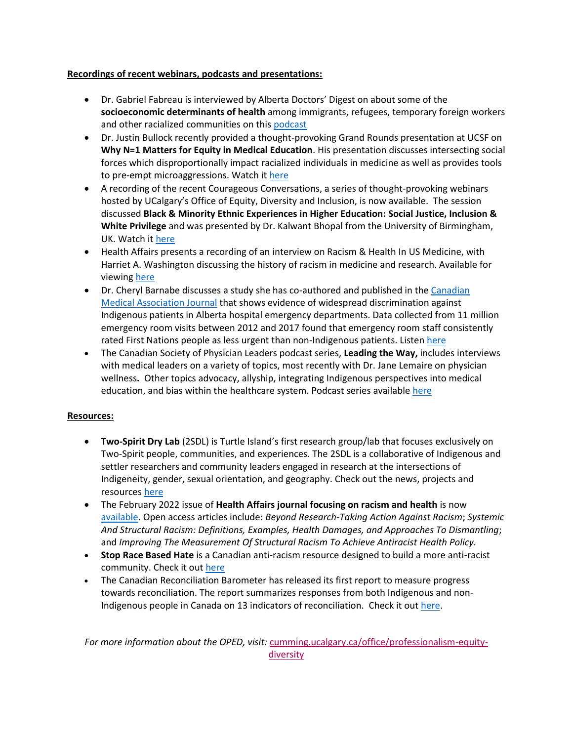#### **Recordings of recent webinars, podcasts and presentations:**

- Dr. Gabriel Fabreau is interviewed by Alberta Doctors' Digest on about some of the **socioeconomic determinants of health** among immigrants, refugees, temporary foreign workers and other racialized communities on thi[s podcast](https://add.albertadoctors.org/issues/january-february-2022/socioeconomic-determinants-health-racialized-communities/)
- Dr. Justin Bullock recently provided a thought-provoking Grand Rounds presentation at UCSF on **Why N=1 Matters for Equity in Medical Education**. His presentation discusses intersecting social forces which disproportionally impact racialized individuals in medicine as well as provides tools to pre-empt microaggressions. Watch it [here](https://www.youtube.com/watch?v=mY4EVKI7x-c&t=10s)
- A recording of the recent Courageous Conversations, a series of thought-provoking webinars hosted by UCalgary's Office of Equity, Diversity and Inclusion, is now available. The session discussed **Black & Minority Ethnic Experiences in Higher Education: Social Justice, Inclusion & White Privilege** and was presented by Dr. Kalwant Bhopal from the University of Birmingham, UK. Watch i[t here](https://www.youtube.com/watch?v=l0rCMbl8aOA)
- Health Affairs presents a recording of an interview on Racism & Health In US Medicine, with Harriet A. Washington discussing the history of racism in medicine and research. Available for viewing [here](https://www.youtube.com/watch?v=YVPFUlRAgUU)
- Dr. Cheryl Barnabe discusses a study she has co-authored and published in th[e Canadian](https://www.cmaj.ca/content/194/2/E37)  [Medical Association Journal](https://www.cmaj.ca/content/194/2/E37) that shows evidence of widespread discrimination against Indigenous patients in Alberta hospital emergency departments. Data collected from 11 million emergency room visits between 2012 and 2017 found that emergency room staff consistently rated First Nations people as less urgent than non-Indigenous patients. Listen [here](https://arthritisathome.jointhealth.org/?p=3087)
- The Canadian Society of Physician Leaders podcast series, **Leading the Way,** includes interviews with medical leaders on a variety of topics, most recently with Dr. Jane Lemaire on physician wellness**.** Other topics advocacy, allyship, integrating Indigenous perspectives into medical education, and bias within the healthcare system. Podcast series available [here](https://leading-the-way.simplecast.com/)

#### **Resources:**

- **Two-Spirit Dry Lab** (2SDL) is Turtle Island's first research group/lab that focuses exclusively on Two-Spirit people, communities, and experiences. The 2SDL is a collaborative of Indigenous and settler researchers and community leaders engaged in research at the intersections of Indigeneity, gender, sexual orientation, and geography. Check out the news, projects and resources [here](http://twospiritdrylab.ca/projects/)
- The February 2022 issue of **Health Affairs journal focusing on racism and health** is now [available.](https://www.healthaffairs.org/toc/hlthaff/41/2) Open access articles include: *Beyond Research-Taking Action Against Racism*; *Systemic And Structural Racism: Definitions, Examples, Health Damages, and Approaches To Dismantling*; and *Improving The Measurement Of Structural Racism To Achieve Antiracist Health Policy.*
- **Stop Race Based Hate** is a Canadian anti-racism resource designed to build a more anti-racist community. Check it ou[t here](https://stopracebasedhate.ca/)
- The Canadian Reconciliation Barometer has released its first report to measure progress towards reconciliation. The report summarizes responses from both Indigenous and non-Indigenous people in Canada on 13 indicators of reconciliation. Check it ou[t here.](https://reconciliationbarometer.ca/what-we-have-learned/)

*For more information about the OPED, visit:* [cumming.ucalgary.ca/office/professionalism-equity](https://cumming.ucalgary.ca/office/professionalism-equity-diversity)[diversity](https://cumming.ucalgary.ca/office/professionalism-equity-diversity)